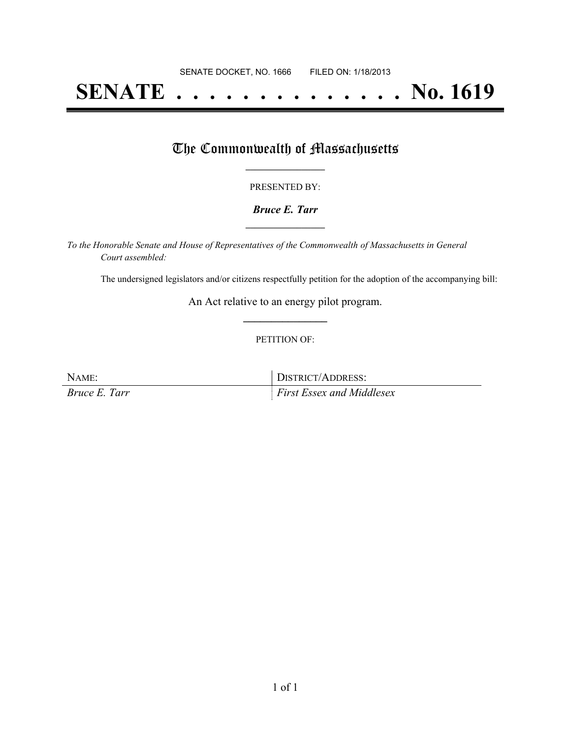# **SENATE . . . . . . . . . . . . . . No. 1619**

### The Commonwealth of Massachusetts

#### PRESENTED BY:

#### *Bruce E. Tarr* **\_\_\_\_\_\_\_\_\_\_\_\_\_\_\_\_\_**

*To the Honorable Senate and House of Representatives of the Commonwealth of Massachusetts in General Court assembled:*

The undersigned legislators and/or citizens respectfully petition for the adoption of the accompanying bill:

An Act relative to an energy pilot program. **\_\_\_\_\_\_\_\_\_\_\_\_\_\_\_**

#### PETITION OF:

NAME: DISTRICT/ADDRESS: *Bruce E. Tarr First Essex and Middlesex*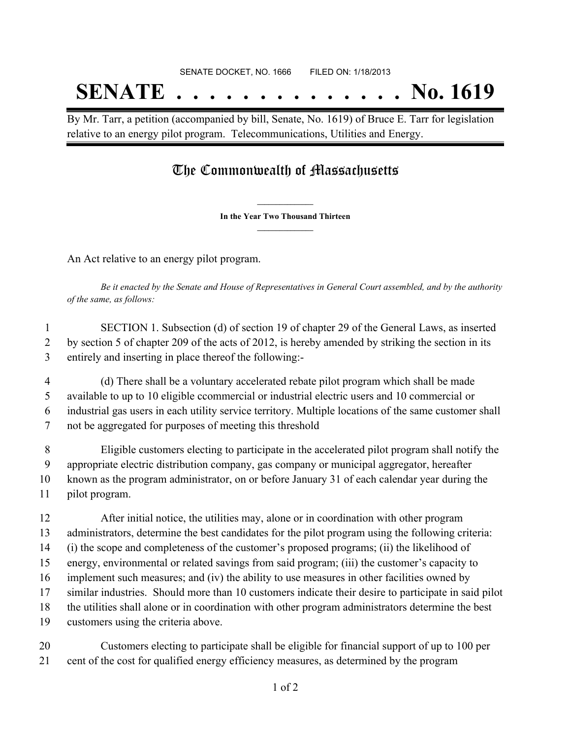# SENATE DOCKET, NO. 1666 FILED ON: 1/18/2013 **SENATE . . . . . . . . . . . . . . No. 1619**

By Mr. Tarr, a petition (accompanied by bill, Senate, No. 1619) of Bruce E. Tarr for legislation relative to an energy pilot program. Telecommunications, Utilities and Energy.

## The Commonwealth of Massachusetts

**\_\_\_\_\_\_\_\_\_\_\_\_\_\_\_ In the Year Two Thousand Thirteen \_\_\_\_\_\_\_\_\_\_\_\_\_\_\_**

An Act relative to an energy pilot program.

Be it enacted by the Senate and House of Representatives in General Court assembled, and by the authority *of the same, as follows:*

 SECTION 1. Subsection (d) of section 19 of chapter 29 of the General Laws, as inserted by section 5 of chapter 209 of the acts of 2012, is hereby amended by striking the section in its entirely and inserting in place thereof the following:-

 (d) There shall be a voluntary accelerated rebate pilot program which shall be made available to up to 10 eligible ccommercial or industrial electric users and 10 commercial or industrial gas users in each utility service territory. Multiple locations of the same customer shall not be aggregated for purposes of meeting this threshold

 Eligible customers electing to participate in the accelerated pilot program shall notify the appropriate electric distribution company, gas company or municipal aggregator, hereafter known as the program administrator, on or before January 31 of each calendar year during the pilot program.

 After initial notice, the utilities may, alone or in coordination with other program administrators, determine the best candidates for the pilot program using the following criteria: (i) the scope and completeness of the customer's proposed programs; (ii) the likelihood of energy, environmental or related savings from said program; (iii) the customer's capacity to implement such measures; and (iv) the ability to use measures in other facilities owned by similar industries. Should more than 10 customers indicate their desire to participate in said pilot the utilities shall alone or in coordination with other program administrators determine the best customers using the criteria above.

 Customers electing to participate shall be eligible for financial support of up to 100 per cent of the cost for qualified energy efficiency measures, as determined by the program